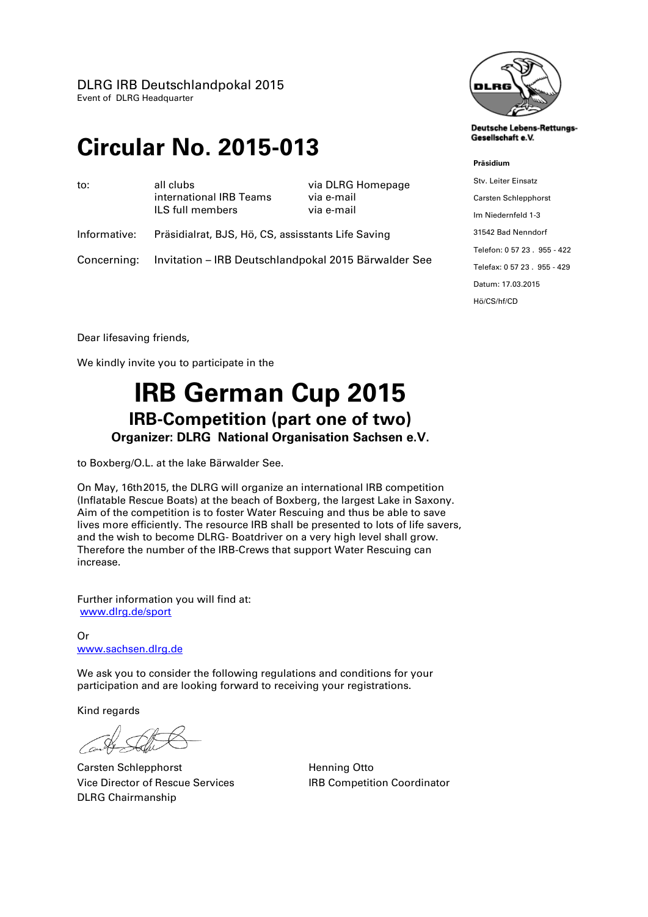DLRG IRB Deutschlandpokal 2015 Event of DLRG Headquarter

# **Circular No. 2015-013**

| to:          | all clubs<br>international IRB Teams<br>ILS full members | via DLRG Homepage<br>via e-mail<br>via e-mail |
|--------------|----------------------------------------------------------|-----------------------------------------------|
| Informative: | Präsidialrat, BJS, Hö, CS, assisstants Life Saving       |                                               |

Concerning: Invitation – IRB Deutschlandpokal 2015 Bärwalder See



**Deutsche Lebens-Rettungs-**Gesellschaft e.V.

#### **Präsidium**

Stv. Leiter Einsatz Carsten Schlepphorst Im Niedernfeld 1-3 31542 Bad Nenndorf Telefon: 0 57 23 . 955 - 422 Telefax: 0 57 23 . 955 - 429 Datum: 17.03.2015 Hö/CS/hf/CD

Dear lifesaving friends,

We kindly invite you to participate in the

# **IRB German Cup 2015 IRB-Competition (part one of two) Organizer: DLRG National Organisation Sachsen e.V.**

to Boxberg/O.L. at the lake Bärwalder See.

On May, 16th2015, the DLRG will organize an international IRB competition (Inflatable Rescue Boats) at the beach of Boxberg, the largest Lake in Saxony. Aim of the competition is to foster Water Rescuing and thus be able to save lives more efficiently. The resource IRB shall be presented to lots of life savers, and the wish to become DLRG- Boatdriver on a very high level shall grow. Therefore the number of the IRB-Crews that support Water Rescuing can increase.

Further information you will find at: [www.dlrg.de/sport](http://www.dlrg.de/sport)

Or [www.sachsen.dlrg.de](http://www.sachsen.dlrg.de/)

We ask you to consider the following regulations and conditions for your participation and are looking forward to receiving your registrations.

Kind regards

Carsten Schlepphorst **Henning Otto** Vice Director of Rescue Services IRB Competition Coordinator DLRG Chairmanship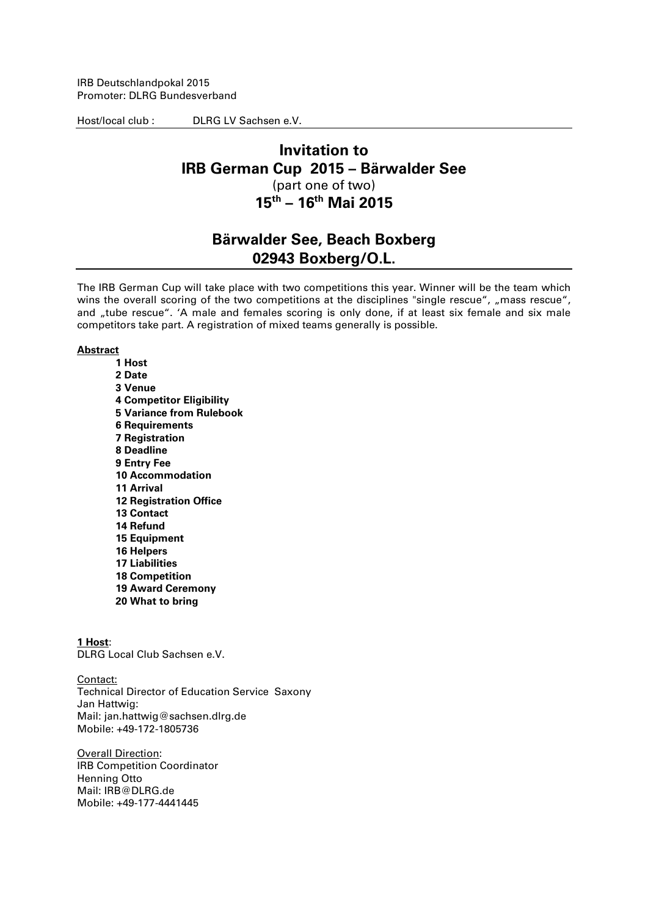IRB Deutschlandpokal 2015 Promoter: DLRG Bundesverband

Host/local club : DLRG LV Sachsen e.V.

### **Invitation to IRB German Cup 2015 – Bärwalder See** (part one of two) **15 th – 16th Mai 2015**

## **Bärwalder See, Beach Boxberg 02943 Boxberg/O.L.**

The IRB German Cup will take place with two competitions this year. Winner will be the team which wins the overall scoring of the two competitions at the disciplines "single rescue", "mass rescue", and "tube rescue". 'A male and females scoring is only done, if at least six female and six male competitors take part. A registration of mixed teams generally is possible.

#### **Abstract**

**1 Host 2 Date 3 Venue 4 Competitor Eligibility 5 Variance from Rulebook 6 Requirements 7 Registration 8 Deadline 9 Entry Fee 10 Accommodation 11 Arrival 12 Registration Office 13 Contact 14 Refund 15 Equipment 16 Helpers 17 Liabilities 18 Competition 19 Award Ceremony 20 What to bring**

**1 Host**: DLRG Local Club Sachsen e.V.

Contact: Technical Director of Education Service Saxony Jan Hattwig: Mail: jan.hattwig@sachsen.dlrg.de Mobile: +49-172-1805736

Overall Direction: IRB Competition Coordinator Henning Otto Mail: IRB@DLRG.de Mobile: +49-177-4441445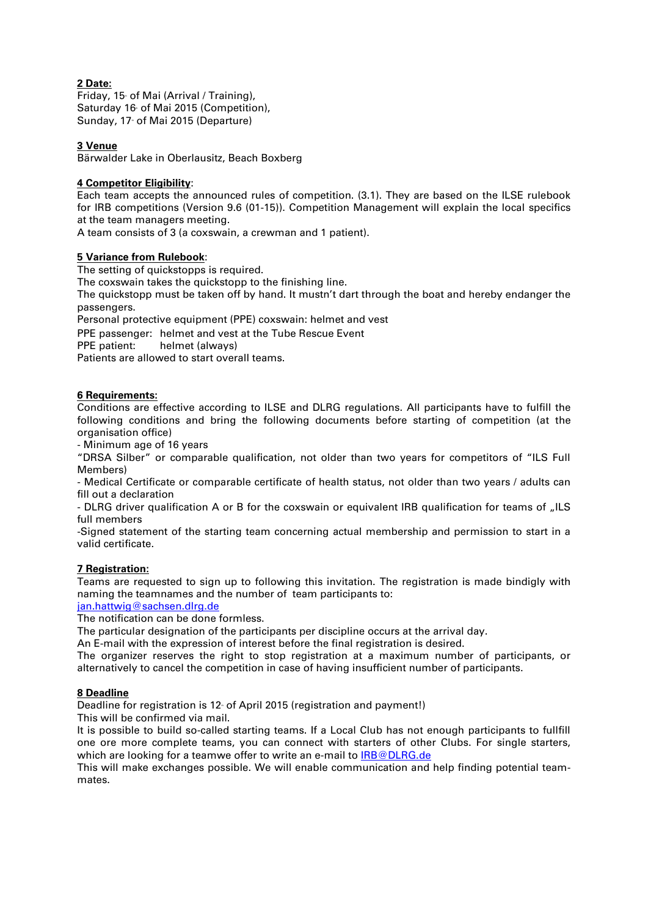#### **2 Date:**

Friday, 15 of Mai (Arrival / Training), Saturday 16 of Mai 2015 (Competition), Sunday, 17 of Mai 2015 (Departure)

#### **3 Venue**

Bärwalder Lake in Oberlausitz, Beach Boxberg

#### **4 Competitor Eligibility**:

Each team accepts the announced rules of competition. (3.1). They are based on the ILSE rulebook for IRB competitions (Version 9.6 (01-15)). Competition Management will explain the local specifics at the team managers meeting.

A team consists of 3 (a coxswain, a crewman and 1 patient).

#### **5 Variance from Rulebook**:

The setting of quickstopps is required.

The coxswain takes the quickstopp to the finishing line.

The quickstopp must be taken off by hand. It mustn't dart through the boat and hereby endanger the passengers.

Personal protective equipment (PPE) coxswain: helmet and vest

PPE passenger: helmet and vest at the Tube Rescue Event

PPE patient: helmet (always)

Patients are allowed to start overall teams.

#### **6 Requirements:**

Conditions are effective according to ILSE and DLRG regulations. All participants have to fulfill the following conditions and bring the following documents before starting of competition (at the organisation office)

- Minimum age of 16 years

"DRSA Silber" or comparable qualification, not older than two years for competitors of "ILS Full Members)

- Medical Certificate or comparable certificate of health status, not older than two years / adults can fill out a declaration

- DLRG driver qualification A or B for the coxswain or equivalent IRB qualification for teams of "ILS full members

-Signed statement of the starting team concerning actual membership and permission to start in a valid certificate.

#### **7 Registration:**

Teams are requested to sign up to following this invitation. The registration is made bindigly with naming the teamnames and the number of team participants to:

[jan.hattwig@sachsen.dlrg.de](mailto:jan.hattwig@sachsen.dlrg.de)

The notification can be done formless.

The particular designation of the participants per discipline occurs at the arrival day.

An E-mail with the expression of interest before the final registration is desired.

The organizer reserves the right to stop registration at a maximum number of participants, or alternatively to cancel the competition in case of having insufficient number of participants.

#### **8 Deadline**

Deadline for registration is 12 of April 2015 (registration and payment!)

This will be confirmed via mail.

It is possible to build so-called starting teams. If a Local Club has not enough participants to fullfill one ore more complete teams, you can connect with starters of other Clubs. For single starters, which are looking for a teamwe offer to write an e-mail t[o IRB@DLRG.de](mailto:IRB@DLRG.de)

This will make exchanges possible. We will enable communication and help finding potential teammates.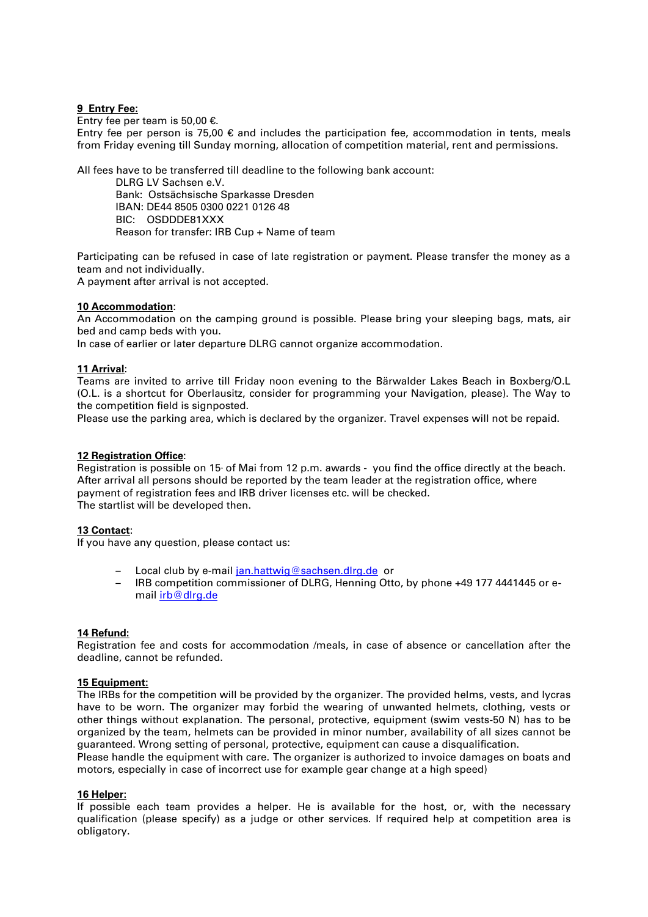#### **9 Entry Fee:**

Entry fee per team is 50,00 €.

Entry fee per person is 75,00  $\epsilon$  and includes the participation fee, accommodation in tents, meals from Friday evening till Sunday morning, allocation of competition material, rent and permissions.

All fees have to be transferred till deadline to the following bank account:

DLRG LV Sachsen e.V. Bank: Ostsächsische Sparkasse Dresden IBAN: DE44 8505 0300 0221 0126 48 BIC: OSDDDE81XXX

Reason for transfer: IRB Cup + Name of team

Participating can be refused in case of late registration or payment. Please transfer the money as a team and not individually.

A payment after arrival is not accepted.

#### **10 Accommodation**:

An Accommodation on the camping ground is possible. Please bring your sleeping bags, mats, air bed and camp beds with you.

In case of earlier or later departure DLRG cannot organize accommodation.

#### **11 Arrival**:

Teams are invited to arrive till Friday noon evening to the Bärwalder Lakes Beach in Boxberg/O.L (O.L. is a shortcut for Oberlausitz, consider for programming your Navigation, please). The Way to the competition field is signposted.

Please use the parking area, which is declared by the organizer. Travel expenses will not be repaid.

#### **12 Registration Office**:

Registration is possible on 15 of Mai from 12 p.m. awards - you find the office directly at the beach. After arrival all persons should be reported by the team leader at the registration office, where payment of registration fees and IRB driver licenses etc. will be checked. The startlist will be developed then.

#### **13 Contact**:

If you have any question, please contact us:

- Local club by e-mai[l jan.hattwig@sachsen.dlrg.de](mailto:jan.hattwig@sachsen.dlrg.de) or
- IRB competition commissioner of DLRG, Henning Otto, by phone +49 177 4441445 or email [irb@dlrg.de](mailto:irb@dlrg.de)

#### **14 Refund:**

Registration fee and costs for accommodation /meals, in case of absence or cancellation after the deadline, cannot be refunded.

#### **15 Equipment:**

The IRBs for the competition will be provided by the organizer. The provided helms, vests, and lycras have to be worn. The organizer may forbid the wearing of unwanted helmets, clothing, vests or other things without explanation. The personal, protective, equipment (swim vests-50 N) has to be organized by the team, helmets can be provided in minor number, availability of all sizes cannot be guaranteed. Wrong setting of personal, protective, equipment can cause a disqualification.

Please handle the equipment with care. The organizer is authorized to invoice damages on boats and motors, especially in case of incorrect use for example gear change at a high speed)

#### **16 Helper:**

If possible each team provides a helper. He is available for the host, or, with the necessary qualification (please specify) as a judge or other services. If required help at competition area is obligatory.